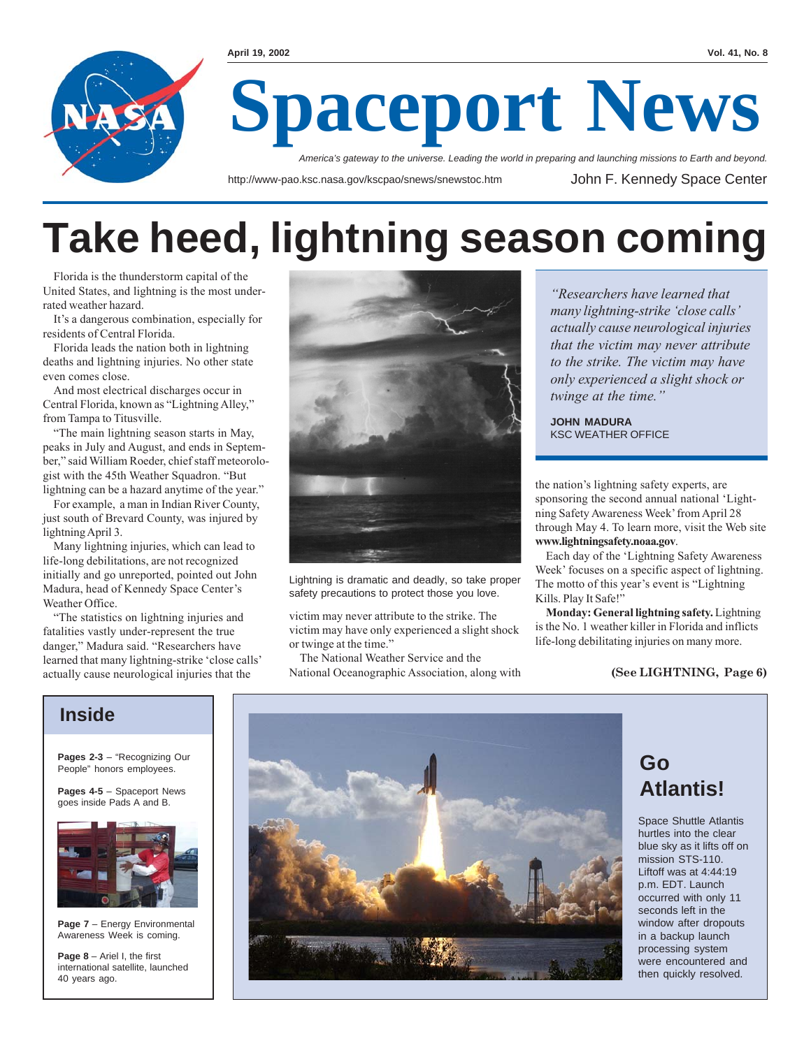

## **Take heed, lightning season coming**

Florida is the thunderstorm capital of the United States, and lightning is the most underrated weather hazard.

It's a dangerous combination, especially for residents of Central Florida.

Florida leads the nation both in lightning deaths and lightning injuries. No other state even comes close.

And most electrical discharges occur in Central Florida, known as "Lightning Alley," from Tampa to Titusville.

"The main lightning season starts in May, peaks in July and August, and ends in September," said William Roeder, chief staff meteorologist with the 45th Weather Squadron. "But lightning can be a hazard anytime of the year."

For example, a man in Indian River County, just south of Brevard County, was injured by lightning April 3.

Many lightning injuries, which can lead to life-long debilitations, are not recognized initially and go unreported, pointed out John Madura, head of Kennedy Space Center's Weather Office.

"The statistics on lightning injuries and fatalities vastly under-represent the true danger," Madura said. "Researchers have learned that many lightning-strike 'close calls' actually cause neurological injuries that the



Lightning is dramatic and deadly, so take proper safety precautions to protect those you love.

victim may never attribute to the strike. The victim may have only experienced a slight shock or twinge at the time."

The National Weather Service and the National Oceanographic Association, along with

*"Researchers have learned that many lightning-strike 'close calls' actually cause neurological injuries that the victim may never attribute to the strike. The victim may have only experienced a slight shock or twinge at the time."*

**JOHN MADURA** KSC WEATHER OFFICE

the nation's lightning safety experts, are sponsoring the second annual national 'Lightning Safety Awareness Week' from April 28 through May 4. To learn more, visit the Web site **www.lightningsafety.noaa.gov**.

Each day of the 'Lightning Safety Awareness Week' focuses on a specific aspect of lightning. The motto of this year's event is "Lightning Kills. Play It Safe!"

**Monday: General lightning safety.** Lightning is the No. 1 weather killer in Florida and inflicts life-long debilitating injuries on many more.

#### **(See LIGHTNING, Page 6)**

#### **Inside**

**Pages 2-3** – "Recognizing Our People" honors employees.

**Pages 4-5** – Spaceport News goes inside Pads A and B.



**Page 7** – Energy Environmental Awareness Week is coming.

**Page 8** – Ariel I, the first international satellite, launched 40 years ago.



### **Go Atlantis!**

Space Shuttle Atlantis hurtles into the clear blue sky as it lifts off on mission STS-110. Liftoff was at 4:44:19 p.m. EDT. Launch occurred with only 11 seconds left in the window after dropouts in a backup launch processing system were encountered and then quickly resolved.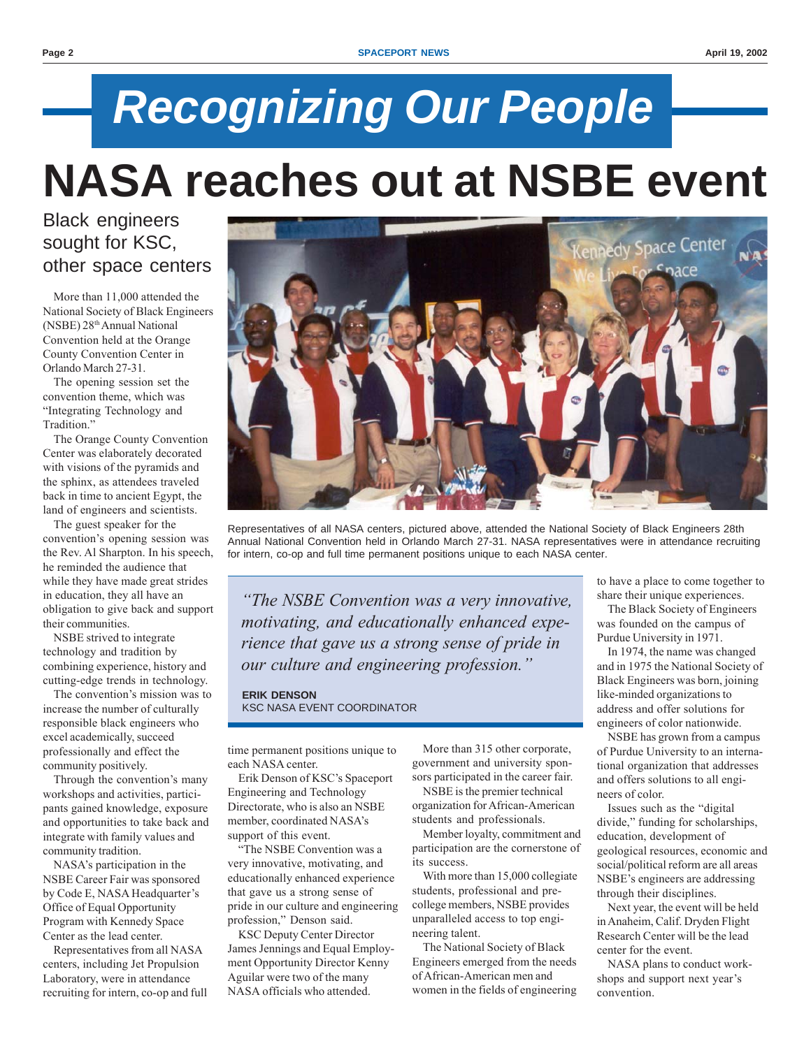# *Recognizing Our People* **NASA reaches out at NSBE event**

Black engineers sought for KSC, other space centers

More than 11,000 attended the National Society of Black Engineers (NSBE) 28th Annual National Convention held at the Orange County Convention Center in Orlando March 27-31.

The opening session set the convention theme, which was "Integrating Technology and Tradition."

The Orange County Convention Center was elaborately decorated with visions of the pyramids and the sphinx, as attendees traveled back in time to ancient Egypt, the land of engineers and scientists.

The guest speaker for the convention's opening session was the Rev. Al Sharpton. In his speech, he reminded the audience that while they have made great strides in education, they all have an obligation to give back and support their communities.

NSBE strived to integrate technology and tradition by combining experience, history and cutting-edge trends in technology.

The convention's mission was to increase the number of culturally responsible black engineers who excel academically, succeed professionally and effect the community positively.

Through the convention's many workshops and activities, participants gained knowledge, exposure and opportunities to take back and integrate with family values and community tradition.

NASA's participation in the NSBE Career Fair was sponsored by Code E, NASA Headquarter's Office of Equal Opportunity Program with Kennedy Space Center as the lead center.

Representatives from all NASA centers, including Jet Propulsion Laboratory, were in attendance recruiting for intern, co-op and full



Representatives of all NASA centers, pictured above, attended the National Society of Black Engineers 28th Annual National Convention held in Orlando March 27-31. NASA representatives were in attendance recruiting for intern, co-op and full time permanent positions unique to each NASA center.

*"The NSBE Convention was a very innovative, motivating, and educationally enhanced experience that gave us a strong sense of pride in our culture and engineering profession."*

**ERIK DENSON** KSC NASA EVENT COORDINATOR

time permanent positions unique to each NASA center.

Erik Denson of KSC's Spaceport Engineering and Technology Directorate, who is also an NSBE member, coordinated NASA's support of this event.

"The NSBE Convention was a very innovative, motivating, and educationally enhanced experience that gave us a strong sense of pride in our culture and engineering profession," Denson said.

KSC Deputy Center Director James Jennings and Equal Employment Opportunity Director Kenny Aguilar were two of the many NASA officials who attended.

More than 315 other corporate, government and university sponsors participated in the career fair.

NSBE is the premier technical organization for African-American students and professionals.

Member loyalty, commitment and participation are the cornerstone of its success.

With more than 15,000 collegiate students, professional and precollege members, NSBE provides unparalleled access to top engineering talent.

The National Society of Black Engineers emerged from the needs of African-American men and women in the fields of engineering to have a place to come together to share their unique experiences.

The Black Society of Engineers was founded on the campus of Purdue University in 1971.

In 1974, the name was changed and in 1975 the National Society of Black Engineers was born, joining like-minded organizations to address and offer solutions for engineers of color nationwide.

NSBE has grown from a campus of Purdue University to an international organization that addresses and offers solutions to all engineers of color.

Issues such as the "digital divide," funding for scholarships, education, development of geological resources, economic and social/political reform are all areas NSBE's engineers are addressing through their disciplines.

Next year, the event will be held in Anaheim, Calif. Dryden Flight Research Center will be the lead center for the event.

NASA plans to conduct workshops and support next year's convention.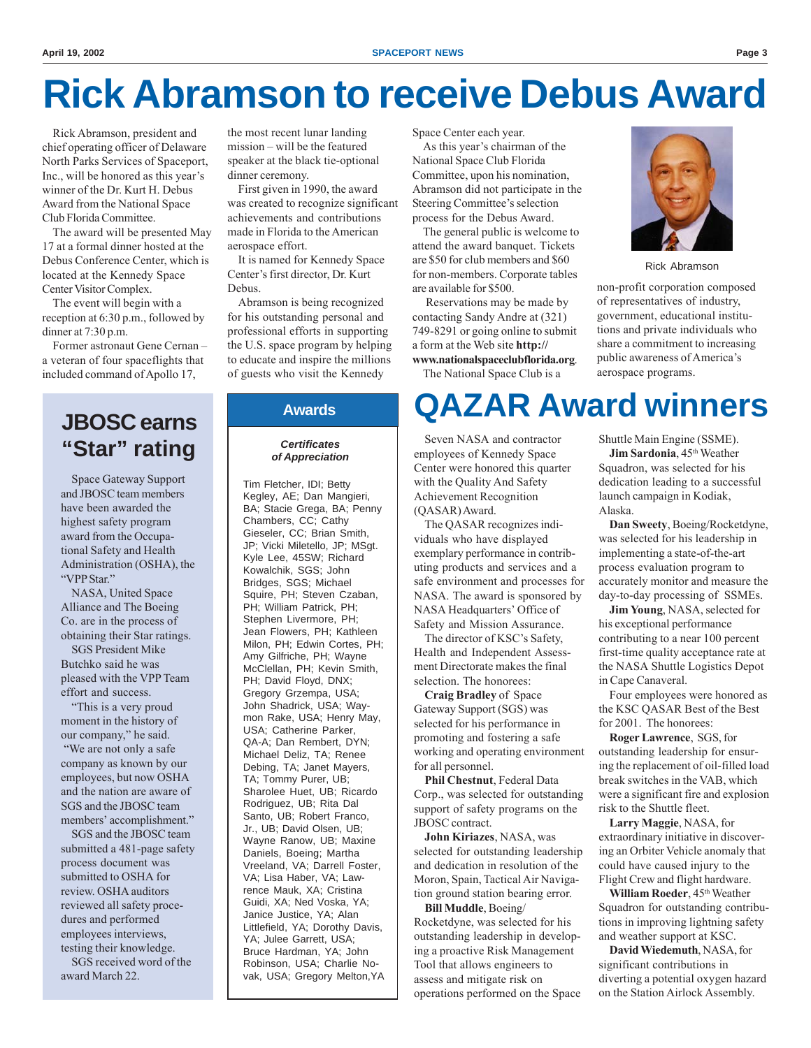## **Rick Abramson to receive Debus Award**

Rick Abramson, president and chief operating officer of Delaware North Parks Services of Spaceport, Inc., will be honored as this year's winner of the Dr. Kurt H. Debus Award from the National Space Club Florida Committee.

The award will be presented May 17 at a formal dinner hosted at the Debus Conference Center, which is located at the Kennedy Space Center Visitor Complex.

The event will begin with a reception at 6:30 p.m., followed by dinner at 7:30 p.m.

Former astronaut Gene Cernan – a veteran of four spaceflights that included command of Apollo 17,

#### **JBOSC earns "Star" rating**

Space Gateway Support and JBOSC team members have been awarded the highest safety program award from the Occupational Safety and Health Administration (OSHA), the "VPP Star."

NASA, United Space Alliance and The Boeing Co. are in the process of obtaining their Star ratings.

SGS President Mike Butchko said he was pleased with the VPP Team effort and success.

"This is a very proud moment in the history of our company," he said. "We are not only a safe company as known by our employees, but now OSHA and the nation are aware of SGS and the JBOSC team members' accomplishment."

SGS and the JBOSC team submitted a 481-page safety process document was submitted to OSHA for review. OSHA auditors reviewed all safety procedures and performed employees interviews, testing their knowledge.

SGS received word of the award March 22.

the most recent lunar landing mission – will be the featured speaker at the black tie-optional dinner ceremony.

First given in 1990, the award was created to recognize significant achievements and contributions made in Florida to the American aerospace effort.

It is named for Kennedy Space Center's first director, Dr. Kurt Debus.

Abramson is being recognized for his outstanding personal and professional efforts in supporting the U.S. space program by helping to educate and inspire the millions of guests who visit the Kennedy

#### **Awards**

#### *Certificates of Appreciation*

Tim Fletcher, IDI; Betty Kegley, AE; Dan Mangieri, BA; Stacie Grega, BA; Penny Chambers, CC; Cathy Gieseler, CC; Brian Smith, JP; Vicki Miletello, JP; MSgt. Kyle Lee, 45SW; Richard Kowalchik, SGS; John Bridges, SGS; Michael Squire, PH; Steven Czaban, PH; William Patrick, PH; Stephen Livermore, PH; Jean Flowers, PH; Kathleen Milon, PH; Edwin Cortes, PH; Amy Gilfriche, PH; Wayne McClellan, PH; Kevin Smith, PH; David Floyd, DNX; Gregory Grzempa, USA; John Shadrick, USA; Waymon Rake, USA; Henry May, USA; Catherine Parker, QA-A; Dan Rembert, DYN; Michael Deliz, TA; Renee Debing, TA; Janet Mayers, TA; Tommy Purer, UB; Sharolee Huet, UB; Ricardo Rodriguez, UB; Rita Dal Santo, UB; Robert Franco, Jr., UB; David Olsen, UB; Wayne Ranow, UB; Maxine Daniels, Boeing; Martha Vreeland, VA; Darrell Foster, VA; Lisa Haber, VA; Lawrence Mauk, XA; Cristina Guidi, XA; Ned Voska, YA; Janice Justice, YA; Alan Littlefield, YA; Dorothy Davis, YA; Julee Garrett, USA; Bruce Hardman, YA; John Robinson, USA; Charlie Novak, USA; Gregory Melton,YA Space Center each year.

As this year's chairman of the National Space Club Florida Committee, upon his nomination, Abramson did not participate in the Steering Committee's selection process for the Debus Award.

The general public is welcome to attend the award banquet. Tickets are \$50 for club members and \$60 for non-members. Corporate tables are available for \$500.

 Reservations may be made by contacting Sandy Andre at (321) 749-8291 or going online to submit a form at the Web site **http:// www.nationalspaceclubflorida.org**.

The National Space Club is a



Rick Abramson

non-profit corporation composed of representatives of industry, government, educational institutions and private individuals who share a commitment to increasing public awareness of America's aerospace programs.

## **QAZAR Award winners**

Seven NASA and contractor employees of Kennedy Space Center were honored this quarter with the Quality And Safety Achievement Recognition (QASAR) Award.

The QASAR recognizes individuals who have displayed exemplary performance in contributing products and services and a safe environment and processes for NASA. The award is sponsored by NASA Headquarters' Office of Safety and Mission Assurance.

The director of KSC's Safety, Health and Independent Assessment Directorate makes the final selection. The honorees:

**Craig Bradley** of Space Gateway Support (SGS) was selected for his performance in promoting and fostering a safe working and operating environment for all personnel.

**Phil Chestnut**, Federal Data Corp., was selected for outstanding support of safety programs on the JBOSC contract.

**John Kiriazes**, NASA, was selected for outstanding leadership and dedication in resolution of the Moron, Spain, Tactical Air Navigation ground station bearing error.

**Bill Muddle**, Boeing/ Rocketdyne, was selected for his outstanding leadership in developing a proactive Risk Management Tool that allows engineers to assess and mitigate risk on operations performed on the Space Shuttle Main Engine (SSME). **Jim Sardonia**, 45<sup>th</sup> Weather Squadron, was selected for his dedication leading to a successful launch campaign in Kodiak, Alaska.

**Dan Sweety**, Boeing/Rocketdyne, was selected for his leadership in implementing a state-of-the-art process evaluation program to accurately monitor and measure the day-to-day processing of SSMEs.

**Jim Young**, NASA, selected for his exceptional performance contributing to a near 100 percent first-time quality acceptance rate at the NASA Shuttle Logistics Depot in Cape Canaveral.

Four employees were honored as the KSC QASAR Best of the Best for 2001. The honorees:

**Roger Lawrence**, SGS, for outstanding leadership for ensuring the replacement of oil-filled load break switches in the VAB, which were a significant fire and explosion risk to the Shuttle fleet.

**Larry Maggie**, NASA, for extraordinary initiative in discovering an Orbiter Vehicle anomaly that could have caused injury to the Flight Crew and flight hardware.

**William Roeder**, 45<sup>th</sup> Weather Squadron for outstanding contributions in improving lightning safety and weather support at KSC.

**David Wiedemuth**, NASA, for significant contributions in diverting a potential oxygen hazard on the Station Airlock Assembly.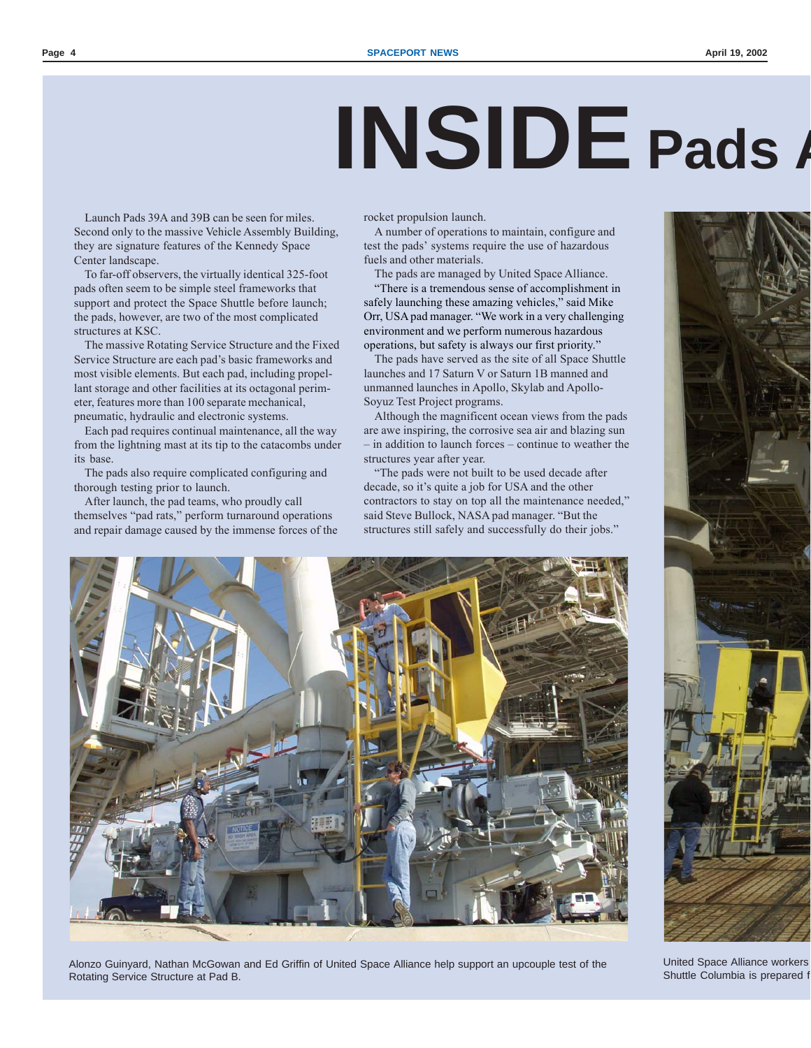# **INSIDE Pads A**

Launch Pads 39A and 39B can be seen for miles. Second only to the massive Vehicle Assembly Building, they are signature features of the Kennedy Space Center landscape.

To far-off observers, the virtually identical 325-foot pads often seem to be simple steel frameworks that support and protect the Space Shuttle before launch; the pads, however, are two of the most complicated structures at KSC.

The massive Rotating Service Structure and the Fixed Service Structure are each pad's basic frameworks and most visible elements. But each pad, including propellant storage and other facilities at its octagonal perimeter, features more than 100 separate mechanical, pneumatic, hydraulic and electronic systems.

Each pad requires continual maintenance, all the way from the lightning mast at its tip to the catacombs under its base.

The pads also require complicated configuring and thorough testing prior to launch.

After launch, the pad teams, who proudly call themselves "pad rats," perform turnaround operations and repair damage caused by the immense forces of the rocket propulsion launch.

A number of operations to maintain, configure and test the pads' systems require the use of hazardous fuels and other materials.

The pads are managed by United Space Alliance.

"There is a tremendous sense of accomplishment in safely launching these amazing vehicles," said Mike Orr, USA pad manager. "We work in a very challenging environment and we perform numerous hazardous operations, but safety is always our first priority."

The pads have served as the site of all Space Shuttle launches and 17 Saturn V or Saturn 1B manned and unmanned launches in Apollo, Skylab and Apollo-Soyuz Test Project programs.

Although the magnificent ocean views from the pads are awe inspiring, the corrosive sea air and blazing sun – in addition to launch forces – continue to weather the structures year after year.

"The pads were not built to be used decade after decade, so it's quite a job for USA and the other contractors to stay on top all the maintenance needed," said Steve Bullock, NASA pad manager. "But the structures still safely and successfully do their jobs."



Alonzo Guinyard, Nathan McGowan and Ed Griffin of United Space Alliance help support an upcouple test of the Rotating Service Structure at Pad B.



United Space Alliance workers Shuttle Columbia is prepared f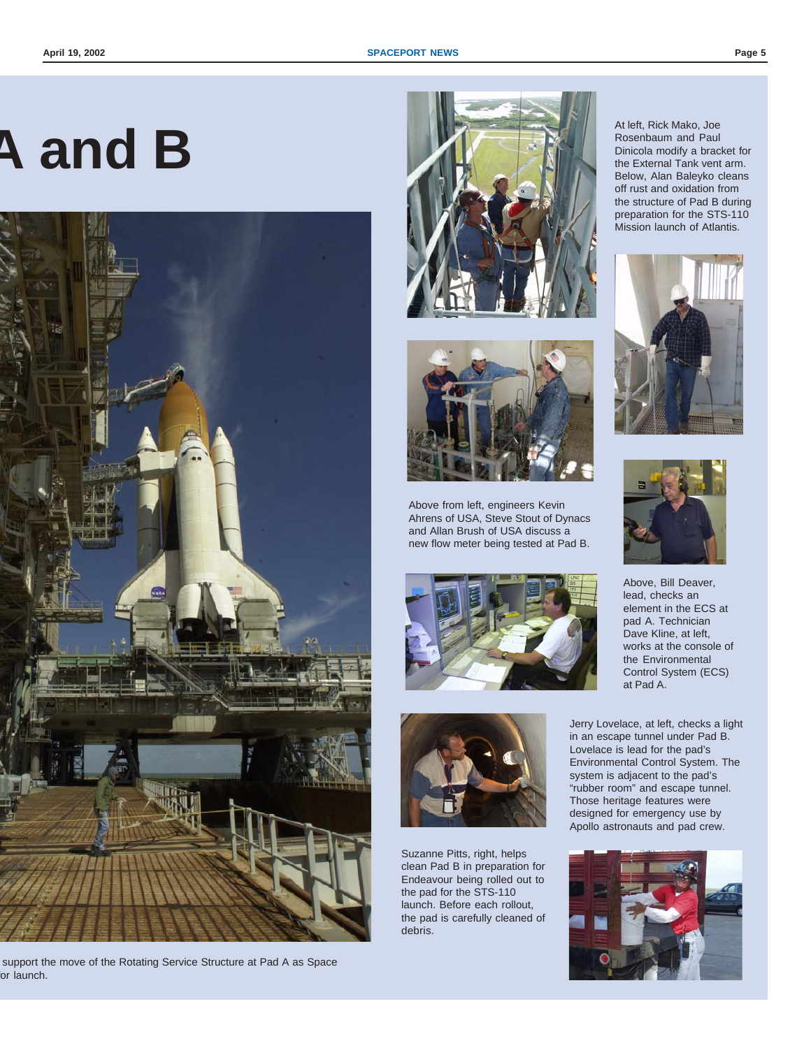# **A and B**



support the move of the Rotating Service Structure at Pad A as Space or launch.





Above from left, engineers Kevin Ahrens of USA, Steve Stout of Dynacs and Allan Brush of USA discuss a new flow meter being tested at Pad B.





Suzanne Pitts, right, helps clean Pad B in preparation for Endeavour being rolled out to the pad for the STS-110 launch. Before each rollout, the pad is carefully cleaned of debris.

At left, Rick Mako, Joe Rosenbaum and Paul Dinicola modify a bracket for the External Tank vent arm. Below, Alan Baleyko cleans off rust and oxidation from the structure of Pad B during preparation for the STS-110 Mission launch of Atlantis.





Above, Bill Deaver, lead, checks an element in the ECS at pad A. Technician Dave Kline, at left, works at the console of the Environmental Control System (ECS) at Pad A.

Jerry Lovelace, at left, checks a light in an escape tunnel under Pad B. Lovelace is lead for the pad's Environmental Control System. The system is adjacent to the pad's "rubber room" and escape tunnel. Those heritage features were designed for emergency use by Apollo astronauts and pad crew.

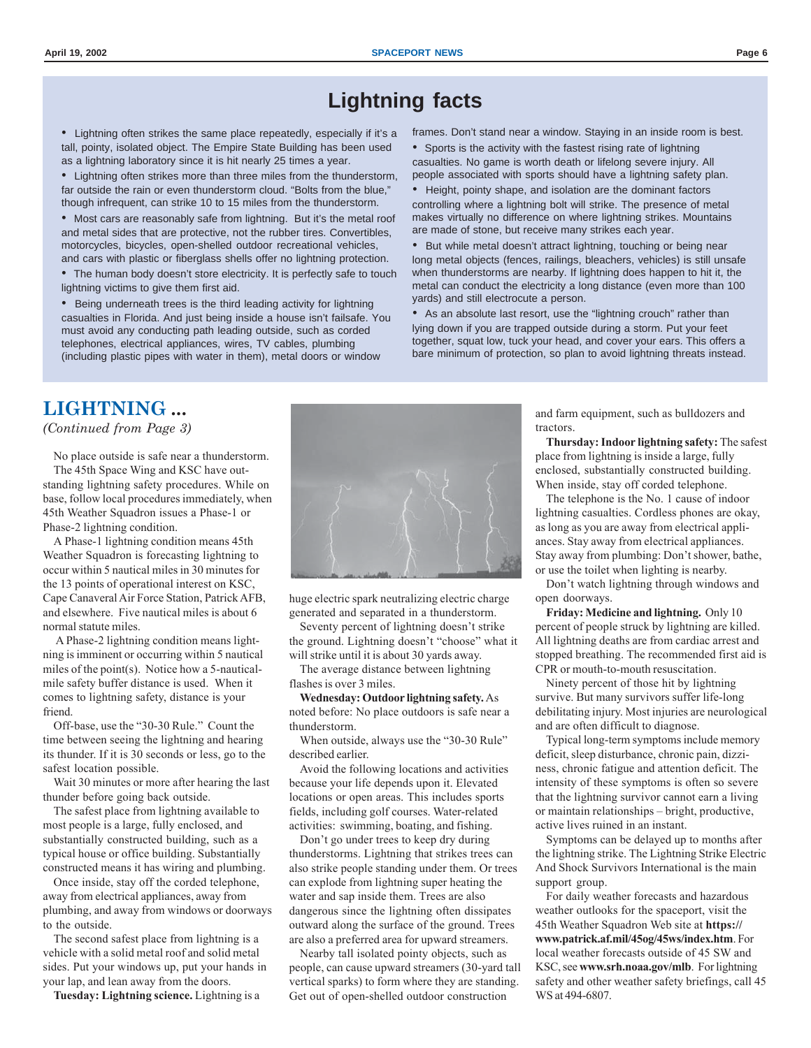#### **Lightning facts**

• Lightning often strikes the same place repeatedly, especially if it's a tall, pointy, isolated object. The Empire State Building has been used as a lightning laboratory since it is hit nearly 25 times a year.

• Lightning often strikes more than three miles from the thunderstorm, far outside the rain or even thunderstorm cloud. "Bolts from the blue," though infrequent, can strike 10 to 15 miles from the thunderstorm.

• Most cars are reasonably safe from lightning. But it's the metal roof and metal sides that are protective, not the rubber tires. Convertibles, motorcycles, bicycles, open-shelled outdoor recreational vehicles, and cars with plastic or fiberglass shells offer no lightning protection.

• The human body doesn't store electricity. It is perfectly safe to touch lightning victims to give them first aid.

• Being underneath trees is the third leading activity for lightning casualties in Florida. And just being inside a house isn't failsafe. You must avoid any conducting path leading outside, such as corded telephones, electrical appliances, wires, TV cables, plumbing (including plastic pipes with water in them), metal doors or window

frames. Don't stand near a window. Staying in an inside room is best. • Sports is the activity with the fastest rising rate of lightning

casualties. No game is worth death or lifelong severe injury. All people associated with sports should have a lightning safety plan.

• Height, pointy shape, and isolation are the dominant factors controlling where a lightning bolt will strike. The presence of metal makes virtually no difference on where lightning strikes. Mountains are made of stone, but receive many strikes each year.

• But while metal doesn't attract lightning, touching or being near long metal objects (fences, railings, bleachers, vehicles) is still unsafe when thunderstorms are nearby. If lightning does happen to hit it, the metal can conduct the electricity a long distance (even more than 100 yards) and still electrocute a person.

As an absolute last resort, use the "lightning crouch" rather than lying down if you are trapped outside during a storm. Put your feet together, squat low, tuck your head, and cover your ears. This offers a bare minimum of protection, so plan to avoid lightning threats instead.

#### **LIGHTNING ...**

*(Continued from Page 3)*

No place outside is safe near a thunderstorm. The 45th Space Wing and KSC have outstanding lightning safety procedures. While on base, follow local procedures immediately, when 45th Weather Squadron issues a Phase-1 or Phase-2 lightning condition.

A Phase-1 lightning condition means 45th Weather Squadron is forecasting lightning to occur within 5 nautical miles in 30 minutes for the 13 points of operational interest on KSC, Cape Canaveral Air Force Station, Patrick AFB, and elsewhere. Five nautical miles is about 6 normal statute miles.

 A Phase-2 lightning condition means lightning is imminent or occurring within 5 nautical miles of the point(s). Notice how a 5-nauticalmile safety buffer distance is used. When it comes to lightning safety, distance is your friend.

Off-base, use the "30-30 Rule." Count the time between seeing the lightning and hearing its thunder. If it is 30 seconds or less, go to the safest location possible.

Wait 30 minutes or more after hearing the last thunder before going back outside.

The safest place from lightning available to most people is a large, fully enclosed, and substantially constructed building, such as a typical house or office building. Substantially constructed means it has wiring and plumbing.

Once inside, stay off the corded telephone, away from electrical appliances, away from plumbing, and away from windows or doorways to the outside.

The second safest place from lightning is a vehicle with a solid metal roof and solid metal sides. Put your windows up, put your hands in your lap, and lean away from the doors.

**Tuesday: Lightning science.** Lightning is a



huge electric spark neutralizing electric charge generated and separated in a thunderstorm.

Seventy percent of lightning doesn't strike the ground. Lightning doesn't "choose" what it will strike until it is about 30 yards away.

The average distance between lightning flashes is over 3 miles.

**Wednesday: Outdoor lightning safety.** As noted before: No place outdoors is safe near a thunderstorm.

When outside, always use the "30-30 Rule" described earlier.

Avoid the following locations and activities because your life depends upon it. Elevated locations or open areas. This includes sports fields, including golf courses. Water-related activities: swimming, boating, and fishing.

Don't go under trees to keep dry during thunderstorms. Lightning that strikes trees can also strike people standing under them. Or trees can explode from lightning super heating the water and sap inside them. Trees are also dangerous since the lightning often dissipates outward along the surface of the ground. Trees are also a preferred area for upward streamers.

Nearby tall isolated pointy objects, such as people, can cause upward streamers (30-yard tall vertical sparks) to form where they are standing. Get out of open-shelled outdoor construction

and farm equipment, such as bulldozers and tractors.

**Thursday: Indoor lightning safety:** The safest place from lightning is inside a large, fully enclosed, substantially constructed building. When inside, stay off corded telephone.

The telephone is the No. 1 cause of indoor lightning casualties. Cordless phones are okay, as long as you are away from electrical appliances. Stay away from electrical appliances. Stay away from plumbing: Don't shower, bathe, or use the toilet when lighting is nearby.

Don't watch lightning through windows and open doorways.

**Friday: Medicine and lightning.** Only 10 percent of people struck by lightning are killed. All lightning deaths are from cardiac arrest and stopped breathing. The recommended first aid is CPR or mouth-to-mouth resuscitation.

Ninety percent of those hit by lightning survive. But many survivors suffer life-long debilitating injury. Most injuries are neurological and are often difficult to diagnose.

Typical long-term symptoms include memory deficit, sleep disturbance, chronic pain, dizziness, chronic fatigue and attention deficit. The intensity of these symptoms is often so severe that the lightning survivor cannot earn a living or maintain relationships – bright, productive, active lives ruined in an instant.

Symptoms can be delayed up to months after the lightning strike. The Lightning Strike Electric And Shock Survivors International is the main support group.

For daily weather forecasts and hazardous weather outlooks for the spaceport, visit the 45th Weather Squadron Web site at **https:// www.patrick.af.mil/45og/45ws/index.htm**. For local weather forecasts outside of 45 SW and KSC, see **www.srh.noaa.gov/mlb**. For lightning safety and other weather safety briefings, call 45 WS at 494-6807.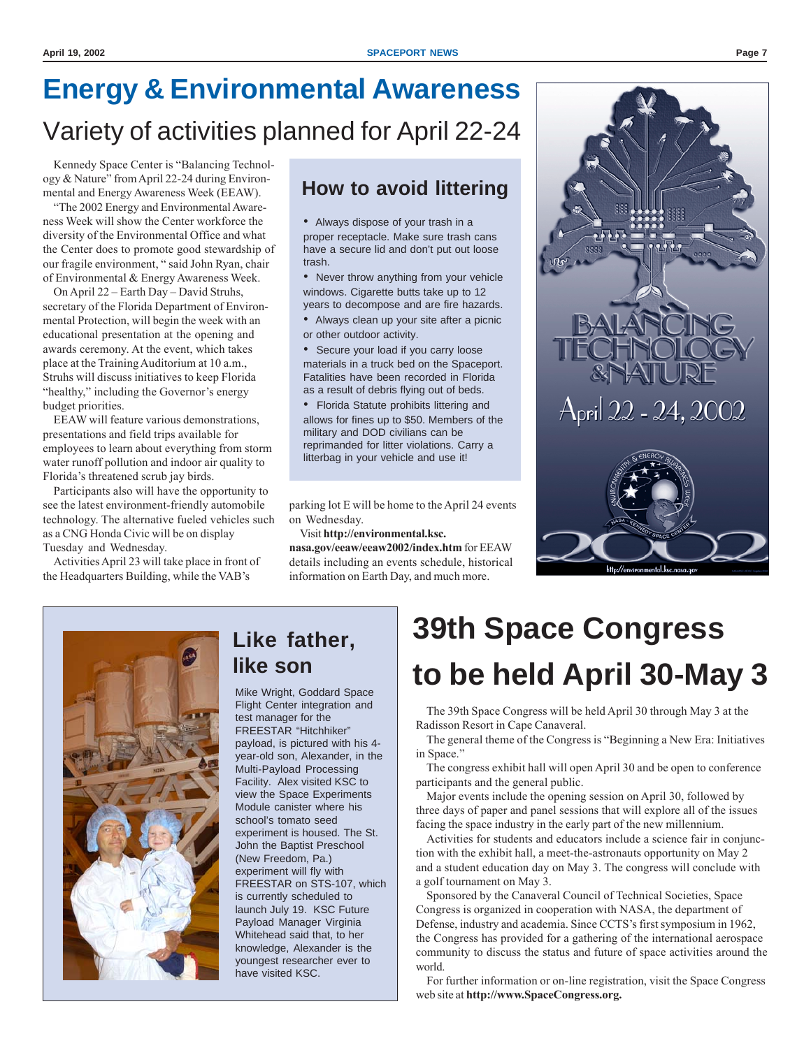## **Energy & Environmental Awareness** Variety of activities planned for April 22-24

Kennedy Space Center is "Balancing Technology & Nature" from April 22-24 during Environmental and Energy Awareness Week (EEAW).

"The 2002 Energy and Environmental Awareness Week will show the Center workforce the diversity of the Environmental Office and what the Center does to promote good stewardship of our fragile environment, " said John Ryan, chair of Environmental & Energy Awareness Week.

On April 22 – Earth Day – David Struhs, secretary of the Florida Department of Environmental Protection, will begin the week with an educational presentation at the opening and awards ceremony. At the event, which takes place at the Training Auditorium at 10 a.m., Struhs will discuss initiatives to keep Florida "healthy," including the Governor's energy budget priorities.

EEAW will feature various demonstrations, presentations and field trips available for employees to learn about everything from storm water runoff pollution and indoor air quality to Florida's threatened scrub jay birds.

Participants also will have the opportunity to see the latest environment-friendly automobile technology. The alternative fueled vehicles such as a CNG Honda Civic will be on display Tuesday and Wednesday.

Activities April 23 will take place in front of the Headquarters Building, while the VAB's

### **How to avoid littering**

• Always dispose of your trash in a proper receptacle. Make sure trash cans have a secure lid and don't put out loose trash.

• Never throw anything from your vehicle windows. Cigarette butts take up to 12 years to decompose and are fire hazards.

• Always clean up your site after a picnic or other outdoor activity.

• Secure your load if you carry loose materials in a truck bed on the Spaceport. Fatalities have been recorded in Florida as a result of debris flying out of beds.

• Florida Statute prohibits littering and allows for fines up to \$50. Members of the military and DOD civilians can be reprimanded for litter violations. Carry a litterbag in your vehicle and use it!

parking lot E will be home to the April 24 events on Wednesday.

Visit **http://environmental.ksc. nasa.gov/eeaw/eeaw2002/index.htm** for EEAW details including an events schedule, historical information on Earth Day, and much more.





### **Like father, like son**

Mike Wright, Goddard Space Flight Center integration and test manager for the FREESTAR "Hitchhiker" payload, is pictured with his 4 year-old son, Alexander, in the Multi-Payload Processing Facility. Alex visited KSC to view the Space Experiments Module canister where his school's tomato seed experiment is housed. The St. John the Baptist Preschool (New Freedom, Pa.) experiment will fly with FREESTAR on STS-107, which is currently scheduled to launch July 19. KSC Future Payload Manager Virginia Whitehead said that, to her knowledge, Alexander is the youngest researcher ever to have visited KSC.

## **39th Space Congress to be held April 30-May 3**

The 39th Space Congress will be held April 30 through May 3 at the Radisson Resort in Cape Canaveral.

The general theme of the Congress is "Beginning a New Era: Initiatives in Space."

The congress exhibit hall will open April 30 and be open to conference participants and the general public.

Major events include the opening session on April 30, followed by three days of paper and panel sessions that will explore all of the issues facing the space industry in the early part of the new millennium.

Activities for students and educators include a science fair in conjunction with the exhibit hall, a meet-the-astronauts opportunity on May 2 and a student education day on May 3. The congress will conclude with a golf tournament on May 3.

Sponsored by the Canaveral Council of Technical Societies, Space Congress is organized in cooperation with NASA, the department of Defense, industry and academia. Since CCTS's first symposium in 1962, the Congress has provided for a gathering of the international aerospace community to discuss the status and future of space activities around the world.

For further information or on-line registration, visit the Space Congress web site at **http://www.SpaceCongress.org.**